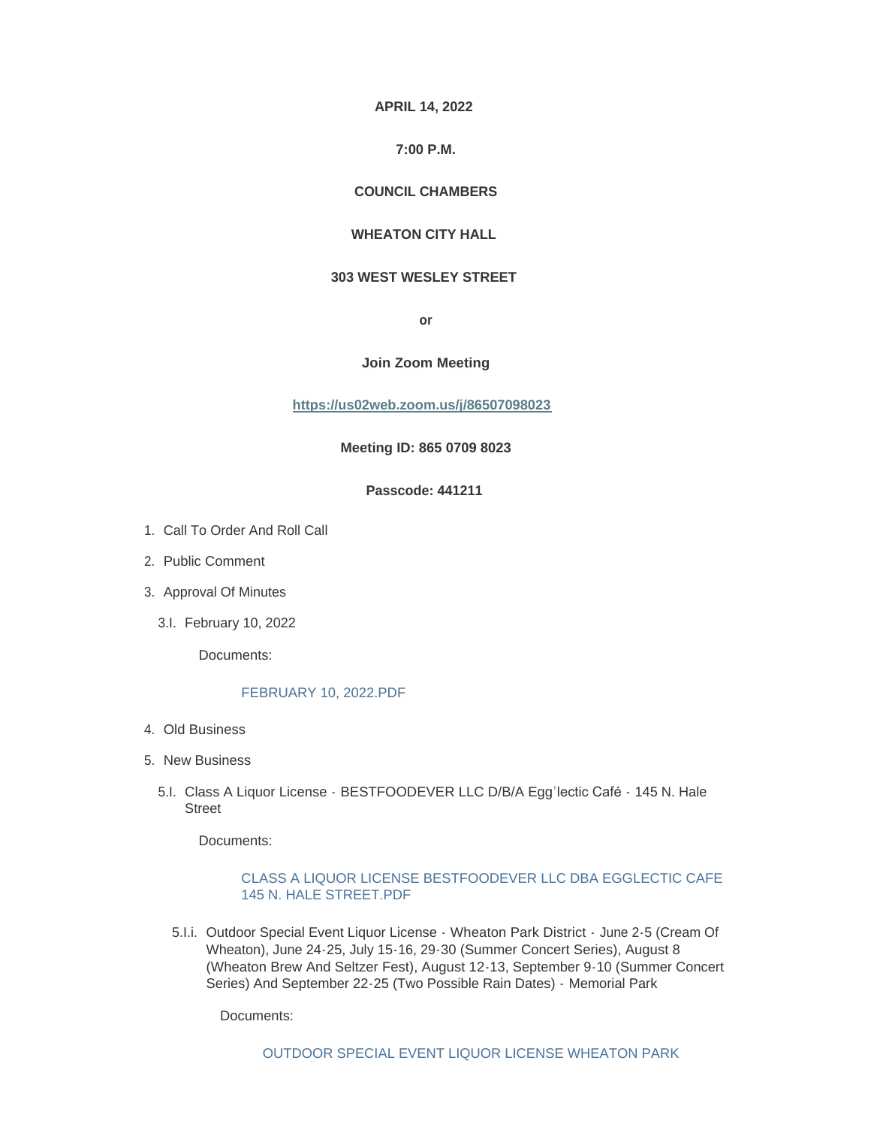**APRIL 14, 2022**

# **7:00 P.M.**

## **COUNCIL CHAMBERS**

# **WHEATON CITY HALL**

## **303 WEST WESLEY STREET**

**or**

#### **Join Zoom Meeting**

**[https://us02web.zoom.us/j/86507098023](https://gcc02.safelinks.protection.outlook.com/?url=https%3A%2F%2Fus02web.zoom.us%2Fj%2F86507098023&data=04%7C01%7CJKozik%40wheaton.il.us%7C67744f44d9054a1069d808da17e968da%7C7409600a5a354350817a26ff18a4fd75%7C0%7C0%7C637848588497216116%7CUnknown%7CTWFpbGZsb3d8eyJWIjoiMC4wLjAwMDAiLCJQIjoiV2luMzIiLCJBTiI6Ik1haWwiLCJXVCI6Mn0%3D%7C3000&sdata=EgLqMMw1wCSa93qtZIQaN1g731BJG1F7zzPr2UZpSMA%3D&reserved=0)**

#### **Meeting ID: 865 0709 8023**

## **Passcode: 441211**

- 1. Call To Order And Roll Call
- 2. Public Comment
- 3. Approval Of Minutes
	- February 10, 2022 3.I.

Documents:

#### [FEBRUARY 10, 2022.PDF](https://www.wheaton.il.us/AgendaCenter/ViewFile/Item/8811?fileID=11220)

- Old Business 4.
- 5. New Business
	- 5.I. Class A Liquor License BESTFOODEVER LLC D/B/A Egg'lectic Café 145 N. Hale Street

Documents:

### [CLASS A LIQUOR LICENSE BESTFOODEVER LLC DBA EGGLECTIC CAFE](https://www.wheaton.il.us/AgendaCenter/ViewFile/Item/8814?fileID=11221)  145 N. HALE STREET.PDF

5. I.i. Outdoor Special Event Liquor License - Wheaton Park District - June 2-5 (Cream Of Wheaton), June 24-25, July 15-16, 29-30 (Summer Concert Series), August 8 (Wheaton Brew And Seltzer Fest), August 12-13, September 9-10 (Summer Concert Series) And September 22-25 (Two Possible Rain Dates) - Memorial Park

Documents: